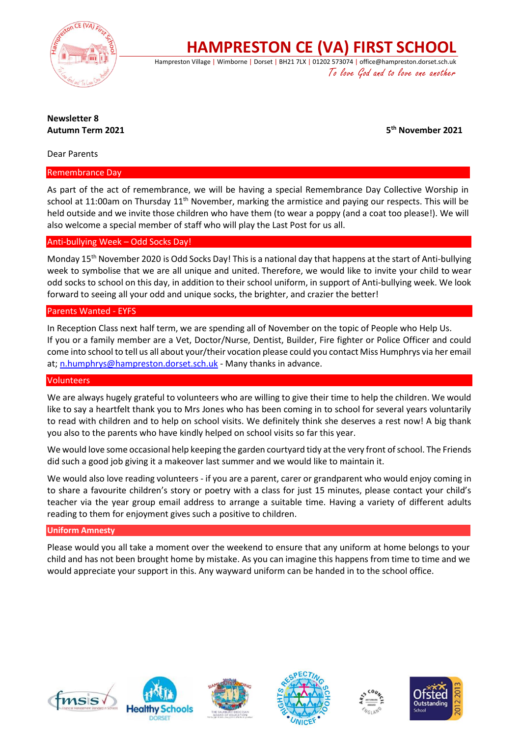

**HAMPRESTON CE (VA) FIRST SCHOOL**

Hampreston Village | Wimborne | Dorset | BH21 7LX | 01202 573074 | office@hampreston.dorset.sch.uk To love God and to love one another

# **Newsletter 8 Autumn Term 2021 5**

**th November 2021**

Dear Parents

#### Remembrance Day

As part of the act of remembrance, we will be having a special Remembrance Day Collective Worship in school at 11:00am on Thursday 11<sup>th</sup> November, marking the armistice and paying our respects. This will be held outside and we invite those children who have them (to wear a poppy (and a coat too please!). We will also welcome a special member of staff who will play the Last Post for us all.

# Anti-bullying Week – Odd Socks Day!

Monday 15<sup>th</sup> November 2020 is Odd Socks Day! This is a national day that happens at the start of Anti-bullying week to symbolise that we are all unique and united. Therefore, we would like to invite your child to wear odd socks to school on this day, in addition to their school uniform, in support of Anti-bullying week. We look forward to seeing all your odd and unique socks, the brighter, and crazier the better!

# Parents Wanted - EYFS

In Reception Class next half term, we are spending all of November on the topic of People who Help Us. If you or a family member are a Vet, Doctor/Nurse, Dentist, Builder, Fire fighter or Police Officer and could come into school to tell us all about your/their vocation please could you contact Miss Humphrys via her email at; [n.humphrys@hampreston.dorset.sch.uk](mailto:n.humphrys@hampreston.dorset.sch.uk) - Many thanks in advance.

#### **Volunteers**

We are always hugely grateful to volunteers who are willing to give their time to help the children. We would like to say a heartfelt thank you to Mrs Jones who has been coming in to school for several years voluntarily to read with children and to help on school visits. We definitely think she deserves a rest now! A big thank you also to the parents who have kindly helped on school visits so far this year.

We would love some occasional help keeping the garden courtyard tidy at the very front of school. The Friends did such a good job giving it a makeover last summer and we would like to maintain it.

We would also love reading volunteers - if you are a parent, carer or grandparent who would enjoy coming in to share a favourite children's story or poetry with a class for just 15 minutes, please contact your child's teacher via the year group email address to arrange a suitable time. Having a variety of different adults reading to them for enjoyment gives such a positive to children.

#### **Uniform Amnesty**

Please would you all take a moment over the weekend to ensure that any uniform at home belongs to your child and has not been brought home by mistake. As you can imagine this happens from time to time and we would appreciate your support in this. Any wayward uniform can be handed in to the school office.









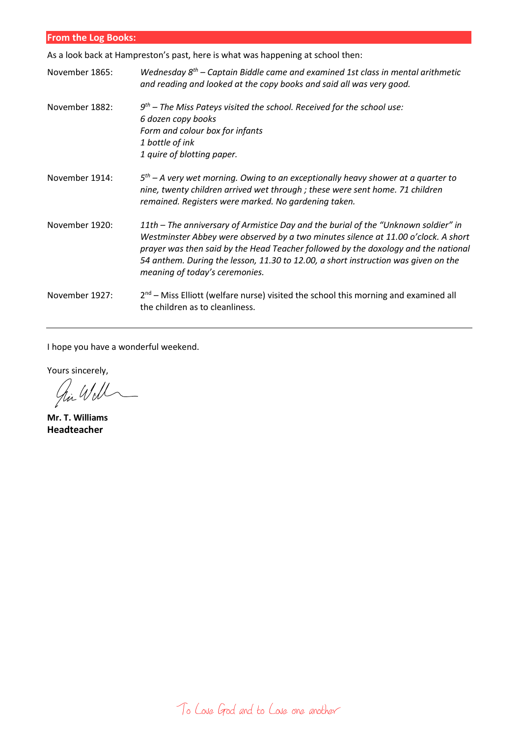| <b>From the Log Books:</b> |  |  |
|----------------------------|--|--|
|                            |  |  |

As a look back at Hampreston's past, here is what was happening at school then:

| November 1865: | Wednesday $8^{th}$ – Captain Biddle came and examined 1st class in mental arithmetic<br>and reading and looked at the copy books and said all was very good.                                                                                                                                                                                                                           |
|----------------|----------------------------------------------------------------------------------------------------------------------------------------------------------------------------------------------------------------------------------------------------------------------------------------------------------------------------------------------------------------------------------------|
| November 1882: | $9th$ – The Miss Pateys visited the school. Received for the school use:<br>6 dozen copy books<br>Form and colour box for infants<br>1 bottle of ink<br>1 quire of blotting paper.                                                                                                                                                                                                     |
| November 1914: | $5th$ – A very wet morning. Owing to an exceptionally heavy shower at a quarter to<br>nine, twenty children arrived wet through ; these were sent home. 71 children<br>remained. Registers were marked. No gardening taken.                                                                                                                                                            |
| November 1920: | 11th – The anniversary of Armistice Day and the burial of the "Unknown soldier" in<br>Westminster Abbey were observed by a two minutes silence at 11.00 o'clock. A short<br>prayer was then said by the Head Teacher followed by the doxology and the national<br>54 anthem. During the lesson, 11.30 to 12.00, a short instruction was given on the<br>meaning of today's ceremonies. |
| November 1927: | $2nd$ – Miss Elliott (welfare nurse) visited the school this morning and examined all<br>the children as to cleanliness.                                                                                                                                                                                                                                                               |

I hope you have a wonderful weekend.

Yours sincerely,<br> $\mathcal{U}\mathcal{U}$ 

**Mr. T. Williams Headteacher**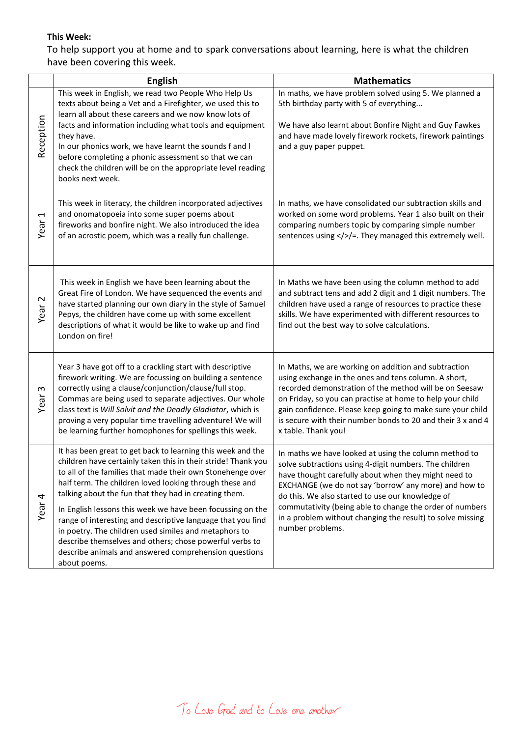# **This Week:**

To help support you at home and to spark conversations about learning, here is what the children have been covering this week.

|                                  | <b>English</b>                                                                                                                                                                                                                                                                                                                                                                                                                                                                                                                                                                                                                           | <b>Mathematics</b>                                                                                                                                                                                                                                                                                                                                                                                                                 |
|----------------------------------|------------------------------------------------------------------------------------------------------------------------------------------------------------------------------------------------------------------------------------------------------------------------------------------------------------------------------------------------------------------------------------------------------------------------------------------------------------------------------------------------------------------------------------------------------------------------------------------------------------------------------------------|------------------------------------------------------------------------------------------------------------------------------------------------------------------------------------------------------------------------------------------------------------------------------------------------------------------------------------------------------------------------------------------------------------------------------------|
| Reception                        | This week in English, we read two People Who Help Us<br>texts about being a Vet and a Firefighter, we used this to<br>learn all about these careers and we now know lots of<br>facts and information including what tools and equipment<br>they have.<br>In our phonics work, we have learnt the sounds f and I<br>before completing a phonic assessment so that we can<br>check the children will be on the appropriate level reading                                                                                                                                                                                                   | In maths, we have problem solved using 5. We planned a<br>5th birthday party with 5 of everything<br>We have also learnt about Bonfire Night and Guy Fawkes<br>and have made lovely firework rockets, firework paintings<br>and a guy paper puppet.                                                                                                                                                                                |
| $\overline{\phantom{0}}$<br>Year | books next week.<br>This week in literacy, the children incorporated adjectives<br>and onomatopoeia into some super poems about<br>fireworks and bonfire night. We also introduced the idea<br>of an acrostic poem, which was a really fun challenge.                                                                                                                                                                                                                                                                                                                                                                                    | In maths, we have consolidated our subtraction skills and<br>worked on some word problems. Year 1 also built on their<br>comparing numbers topic by comparing simple number<br>sentences using > > They managed this extremely well.                                                                                                                                                                                               |
| Year <sub>2</sub>                | This week in English we have been learning about the<br>Great Fire of London. We have sequenced the events and<br>have started planning our own diary in the style of Samuel<br>Pepys, the children have come up with some excellent<br>descriptions of what it would be like to wake up and find<br>London on fire!                                                                                                                                                                                                                                                                                                                     | In Maths we have been using the column method to add<br>and subtract tens and add 2 digit and 1 digit numbers. The<br>children have used a range of resources to practice these<br>skills. We have experimented with different resources to<br>find out the best way to solve calculations.                                                                                                                                        |
| S<br>Year                        | Year 3 have got off to a crackling start with descriptive<br>firework writing. We are focussing on building a sentence<br>correctly using a clause/conjunction/clause/full stop.<br>Commas are being used to separate adjectives. Our whole<br>class text is Will Solvit and the Deadly Gladiator, which is<br>proving a very popular time travelling adventure! We will<br>be learning further homophones for spellings this week.                                                                                                                                                                                                      | In Maths, we are working on addition and subtraction<br>using exchange in the ones and tens column. A short,<br>recorded demonstration of the method will be on Seesaw<br>on Friday, so you can practise at home to help your child<br>gain confidence. Please keep going to make sure your child<br>is secure with their number bonds to 20 and their 3 x and 4<br>x table. Thank you!                                            |
| Year <sub>4</sub>                | It has been great to get back to learning this week and the<br>children have certainly taken this in their stride! Thank you<br>to all of the families that made their own Stonehenge over<br>half term. The children loved looking through these and<br>talking about the fun that they had in creating them.<br>In English lessons this week we have been focussing on the<br>range of interesting and descriptive language that you find<br>in poetry. The children used similes and metaphors to<br>describe themselves and others; chose powerful verbs to<br>describe animals and answered comprehension questions<br>about poems. | In maths we have looked at using the column method to<br>solve subtractions using 4-digit numbers. The children<br>have thought carefully about when they might need to<br>EXCHANGE (we do not say 'borrow' any more) and how to<br>do this. We also started to use our knowledge of<br>commutativity (being able to change the order of numbers<br>in a problem without changing the result) to solve missing<br>number problems. |

To Love God and to Love one another